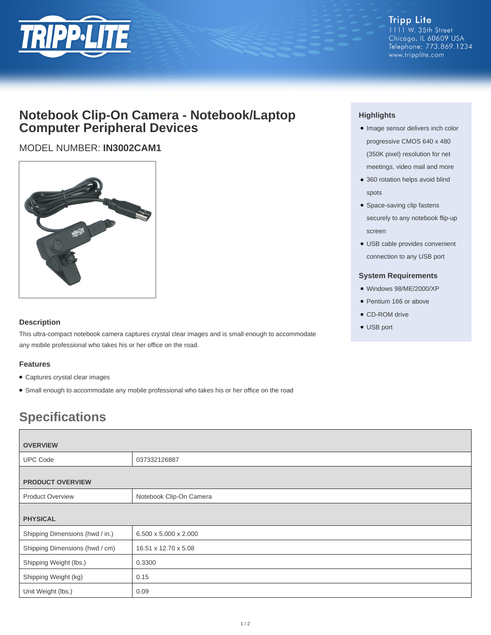

## **Notebook Clip-On Camera - Notebook/Laptop Computer Peripheral Devices**

### MODEL NUMBER: **IN3002CAM1**



#### **Description**

This ultra-compact notebook camera captures crystal clear images and is small enough to accommodate any mobile professional who takes his or her office on the road.

#### **Features**

- Captures crystal clear images
- Small enough to accommodate any mobile professional who takes his or her office on the road

# **Specifications**

| <b>OVERVIEW</b>                 |                         |  |
|---------------------------------|-------------------------|--|
|                                 |                         |  |
| <b>UPC Code</b>                 | 037332126887            |  |
|                                 |                         |  |
| <b>PRODUCT OVERVIEW</b>         |                         |  |
| <b>Product Overview</b>         | Notebook Clip-On Camera |  |
|                                 |                         |  |
| <b>PHYSICAL</b>                 |                         |  |
| Shipping Dimensions (hwd / in.) | 6.500 x 5.000 x 2.000   |  |
| Shipping Dimensions (hwd / cm)  | 16.51 x 12.70 x 5.08    |  |
| Shipping Weight (lbs.)          | 0.3300                  |  |
| Shipping Weight (kg)            | 0.15                    |  |
| Unit Weight (lbs.)              | 0.09                    |  |

#### **Highlights**

- Image sensor delivers inch color progressive CMOS 640 x 480 (350K pixel) resolution for net meetings, video mail and more
- 360 rotation helps avoid blind spots
- Space-saving clip fastens securely to any notebook flip-up screen
- USB cable provides convenient connection to any USB port

#### **System Requirements**

- Windows 98/ME/2000/XP
- Pentium 166 or above
- CD-ROM drive
- USB port